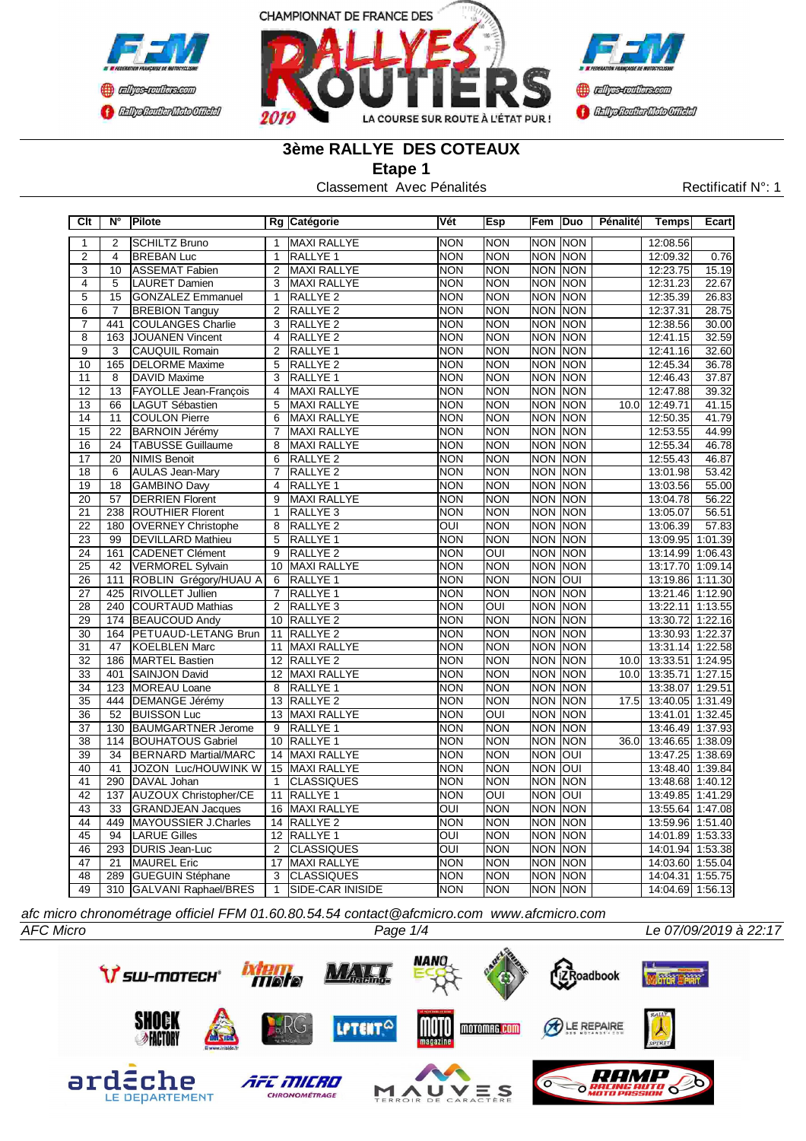



# **3ème RALLYE DES COTEAUX**

**Etape 1**

Classement Avec Pénalités Rectificatif N°: 1

| C <sub>It</sub> | N°               | Pilote                       |                 | Rg Catégorie            | Vét                     | Esp                     | Fem        | Duo            | Pénalité | <b>Temps</b>     | Ecart   |
|-----------------|------------------|------------------------------|-----------------|-------------------------|-------------------------|-------------------------|------------|----------------|----------|------------------|---------|
| 1               | $\overline{2}$   | <b>SCHILTZ Bruno</b>         | $\mathbf{1}$    | <b>MAXI RALLYE</b>      | <b>NON</b>              | <b>NON</b>              | <b>NON</b> | <b>NON</b>     |          | 12:08.56         |         |
| $\overline{2}$  | 4                | <b>BREBAN Luc</b>            | $\mathbf{1}$    | RALLYE 1                | <b>NON</b>              | <b>NON</b>              |            | <b>NON NON</b> |          | 12:09.32         | 0.76    |
| $\overline{3}$  | 10               | <b>ASSEMAT Fabien</b>        | $\overline{2}$  | <b>MAXI RALLYE</b>      | <b>NON</b>              | <b>NON</b>              | <b>NON</b> | <b>NON</b>     |          | 12:23.75         | 15.19   |
| 4               | 5                | <b>LAURET Damien</b>         | 3               | <b>MAXI RALLYE</b>      | <b>NON</b>              | <b>NON</b>              | <b>NON</b> | <b>NON</b>     |          | 12:31.23         | 22.67   |
| $\overline{5}$  | $\overline{15}$  | <b>GONZALEZ Emmanuel</b>     | $\overline{1}$  | <b>RALLYE 2</b>         | <b>NON</b>              | <b>NON</b>              | <b>NON</b> | <b>NON</b>     |          | 12:35.39         | 26.83   |
| $\overline{6}$  | $\overline{7}$   | <b>BREBION Tanguy</b>        | $\overline{2}$  | RALLYE <sub>2</sub>     | <b>NON</b>              | <b>NON</b>              | <b>NON</b> | <b>NON</b>     |          | 12:37.31         | 28.75   |
| $\overline{7}$  | 441              | <b>COULANGES Charlie</b>     | 3               | RALLYE <sub>2</sub>     | <b>NON</b>              | <b>NON</b>              | <b>NON</b> | <b>NON</b>     |          | 12:38.56         | 30.00   |
| $\overline{8}$  | 163              | <b>JOUANEN Vincent</b>       | $\overline{4}$  | <b>RALLYE 2</b>         | <b>NON</b>              | <b>NON</b>              | <b>NON</b> | <b>NON</b>     |          | 12:41.15         | 32.59   |
| $\overline{9}$  | $\overline{3}$   | <b>CAUQUIL Romain</b>        | $\overline{2}$  | RALLYE <sub>1</sub>     | <b>NON</b>              | <b>NON</b>              | <b>NON</b> | <b>NON</b>     |          | 12:41.16         | 32.60   |
| 10              | 165              | <b>DELORME Maxime</b>        | 5               | RALLYE <sub>2</sub>     | <b>NON</b>              | <b>NON</b>              | <b>NON</b> | <b>NON</b>     |          | 12:45.34         | 36.78   |
| 11              | 8                | DAVID Maxime                 | 3               | RALLYE <sub>1</sub>     | <b>NON</b>              | <b>NON</b>              | <b>NON</b> | <b>NON</b>     |          | 12:46.43         | 37.87   |
| 12              | 13               | <b>FAYOLLE Jean-François</b> | $\overline{4}$  | <b>MAXI RALLYE</b>      | <b>NON</b>              | <b>NON</b>              | <b>NON</b> | <b>NON</b>     |          | 12:47.88         | 39.32   |
| 13              | 66               | <b>LAGUT Sébastien</b>       | 5               | <b>MAXI RALLYE</b>      | <b>NON</b>              | <b>NON</b>              | <b>NON</b> | <b>NON</b>     | 10.0     | 12:49.71         | 41.15   |
| 14              | 11               | <b>COULON Pierre</b>         | $\overline{6}$  | <b>MAXI RALLYE</b>      | <b>NON</b>              | <b>NON</b>              | <b>NON</b> | <b>NON</b>     |          | 12:50.35         | 41.79   |
| 15              | $\overline{22}$  | <b>BARNOIN Jérémy</b>        | $\overline{7}$  | <b>MAXI RALLYE</b>      | <b>NON</b>              | <b>NON</b>              | <b>NON</b> | <b>NON</b>     |          | 12:53.55         | 44.99   |
| 16              | $\overline{24}$  | <b>TABUSSE Guillaume</b>     | 8               | <b>MAXI RALLYE</b>      | <b>NON</b>              | <b>NON</b>              | <b>NON</b> | <b>NON</b>     |          | 12:55.34         | 46.78   |
| 17              | 20               | <b>NIMIS Benoit</b>          | 6               | RALLYE <sub>2</sub>     | <b>NON</b>              | <b>NON</b>              | <b>NON</b> | <b>NON</b>     |          | 12:55.43         | 46.87   |
| 18              | 6                | <b>AULAS Jean-Mary</b>       | $\overline{7}$  | RALLYE <sub>2</sub>     | <b>NON</b>              | <b>NON</b>              | <b>NON</b> | <b>NON</b>     |          | 13:01.98         | 53.42   |
| 19              | 18               | <b>GAMBINO Davy</b>          | $\overline{4}$  | RALLYE 1                | <b>NON</b>              | <b>NON</b>              | <b>NON</b> | <b>NON</b>     |          | 13:03.56         | 55.00   |
| 20              | 57               | <b>DERRIEN Florent</b>       | 9               | <b>MAXI RALLYE</b>      | <b>NON</b>              | <b>NON</b>              | <b>NON</b> | <b>NON</b>     |          | 13:04.78         | 56.22   |
| 21              | 238              | <b>ROUTHIER Florent</b>      | $\mathbf{1}$    | RALLYE <sub>3</sub>     | <b>NON</b>              | <b>NON</b>              | <b>NON</b> | <b>NON</b>     |          | 13:05.07         | 56.51   |
| $\overline{22}$ | 180              | <b>OVERNEY Christophe</b>    | 8               | RALLYE <sub>2</sub>     | $\overline{O}$          | <b>NON</b>              | <b>NON</b> | <b>NON</b>     |          | 13:06.39         | 57.83   |
| $\overline{23}$ | 99               | <b>DEVILLARD Mathieu</b>     | 5               | RALLYE <sub>1</sub>     | <b>NON</b>              | <b>NON</b>              | <b>NON</b> | <b>NON</b>     |          | 13:09.95 1:01.39 |         |
| $\overline{24}$ | 161              | <b>CADENET Clément</b>       | $\overline{9}$  | <b>RALLYE 2</b>         | <b>NON</b>              | $\overline{\text{OUI}}$ | <b>NON</b> | <b>NON</b>     |          | 13:14.99 1:06.43 |         |
| $\overline{25}$ | $\overline{42}$  | <b>VERMOREL Sylvain</b>      | 10              | <b>MAXI RALLYE</b>      | <b>NON</b>              | <b>NON</b>              | <b>NON</b> | <b>NON</b>     |          | 13:17.70 1:09.14 |         |
| $\overline{26}$ | 111              | ROBLIN Grégory/HUAU A        | 6               | <b>RALLYE 1</b>         | <b>NON</b>              | <b>NON</b>              | <b>NON</b> | <b>OUI</b>     |          | 13:19.86 1:11.30 |         |
| 27              | 425              | RIVOLLET Jullien             | $\overline{7}$  | <b>RALLYE 1</b>         | <b>NON</b>              | <b>NON</b>              | <b>NON</b> | <b>NON</b>     |          | 13:21.46 1:12.90 |         |
| $\overline{28}$ | $\overline{240}$ | <b>COURTAUD Mathias</b>      | $\overline{2}$  | RALLYE <sub>3</sub>     | <b>NON</b>              | $\overline{\text{OUI}}$ | <b>NON</b> | <b>NON</b>     |          | 13:22.11         | 1:13.55 |
| 29              |                  | 174 BEAUCOUD Andy            | 10              | RALLYE <sub>2</sub>     | <b>NON</b>              | <b>NON</b>              | <b>NON</b> | <b>NON</b>     |          | 13:30.72 1:22.16 |         |
| 30              | 164              | PETUAUD-LETANG Brun          | 11              | RALLYE <sub>2</sub>     | <b>NON</b>              | <b>NON</b>              | <b>NON</b> | <b>NON</b>     |          | 13:30.93 1:22.37 |         |
| $\overline{31}$ | 47               | <b>KOELBLEN Marc</b>         | 11              | MAXI RALLYE             | <b>NON</b>              | <b>NON</b>              | <b>NON</b> | <b>NON</b>     |          | 13:31.14 1:22.58 |         |
| $\overline{32}$ | 186              | <b>MARTEL Bastien</b>        | 12              | <b>RALLYE 2</b>         | <b>NON</b>              | <b>NON</b>              | <b>NON</b> | <b>NON</b>     | 10.0     | 13:33.51         | 1:24.95 |
| $\overline{33}$ | 401              | <b>SAINJON David</b>         | 12              | <b>MAXI RALLYE</b>      | <b>NON</b>              | <b>NON</b>              | <b>NON</b> | <b>NON</b>     | 10.0     | 13:35.71         | 1:27.15 |
| 34              | 123              | <b>MOREAU Loane</b>          | 8               | RALLYE <sub>1</sub>     | <b>NON</b>              | <b>NON</b>              | <b>NON</b> | <b>NON</b>     |          | 13:38.07         | 1:29.51 |
| 35              | 444              | <b>DEMANGE Jérémy</b>        | 13              | <b>RALLYE 2</b>         | <b>NON</b>              | <b>NON</b>              | <b>NON</b> | <b>NON</b>     | 17.5     | 13:40.05 1:31.49 |         |
| 36              | 52               | <b>BUISSON Luc</b>           | 13              | MAXI RALLYE             | <b>NON</b>              | OUI                     | <b>NON</b> | <b>NON</b>     |          | 13:41.01         | 1:32.45 |
| 37              | 130              | <b>BAUMGARTNER Jerome</b>    | 9               | RALLYE 1                | <b>NON</b>              | <b>NON</b>              | <b>NON</b> | <b>NON</b>     |          | 13:46.49 1:37.93 |         |
| 38              | 114              | <b>BOUHATOUS Gabriel</b>     | 10              | RALLYE <sub>1</sub>     | <b>NON</b>              | <b>NON</b>              | <b>NON</b> | <b>NON</b>     | 36.0     | 13:46.65 1:38.09 |         |
| 39              | 34               | <b>BERNARD Martial/MARC</b>  | 14              | <b>MAXI RALLYE</b>      | <b>NON</b>              | <b>NON</b>              | <b>NON</b> | <b>OUI</b>     |          | 13:47.25         | 1:38.69 |
| 40              | 41               | JOZON Luc/HOUWINK W          | 15              | MAXI RALLYE             | <b>NON</b>              | <b>NON</b>              | <b>NON</b> | <b>OUI</b>     |          | 13:48.40 1:39.84 |         |
| 41              | 290              | DAVAL Johan                  | $\mathbf{1}$    | <b>CLASSIQUES</b>       | <b>NON</b>              | <b>NON</b>              | <b>NON</b> | <b>NON</b>     |          | 13:48.68 1:40.12 |         |
| $\overline{42}$ | 137              | <b>AUZOUX Christopher/CE</b> | 11              | <b>RALLYE 1</b>         | <b>NON</b>              | $\overline{O}$          | <b>NON</b> | <b>OUI</b>     |          | 13:49.85 1:41.29 |         |
| 43              | $\overline{33}$  | <b>GRANDJEAN Jacques</b>     | 16              | <b>MAXI RALLYE</b>      | OUI                     | <b>NON</b>              | <b>NON</b> | <b>NON</b>     |          | 13:55.64         | 1:47.08 |
| 44              | 449              | <b>MAYOUSSIER J.Charles</b>  | 14              | <b>RALLYE 2</b>         | <b>NON</b>              | <b>NON</b>              | <b>NON</b> | <b>NON</b>     |          | 13:59.96 1:51.40 |         |
| $\overline{45}$ | 94               | <b>LARUE Gilles</b>          | $\overline{12}$ | <b>RALLYE 1</b>         | OUI                     | <b>NON</b>              | <b>NON</b> | <b>NON</b>     |          | 14:01.89 1:53.33 |         |
| 46              | 293              | <b>DURIS Jean-Luc</b>        | 2               | <b>CLASSIQUES</b>       | $\overline{\text{OUI}}$ | <b>NON</b>              | <b>NON</b> | <b>NON</b>     |          | 14:01.94 1:53.38 |         |
| 47              | 21               | <b>MAUREL Eric</b>           | 17              | <b>MAXI RALLYE</b>      | <b>NON</b>              | <b>NON</b>              | <b>NON</b> | <b>NON</b>     |          | 14:03.60 1:55.04 |         |
| 48              | 289              | <b>GUEGUIN Stéphane</b>      | 3               | <b>CLASSIQUES</b>       | <b>NON</b>              | <b>NON</b>              | <b>NON</b> | <b>NON</b>     |          | 14:04.31 1:55.75 |         |
| 49              |                  | 310 GALVANI Raphael/BRES     | $\mathbf{1}$    | <b>SIDE-CAR INISIDE</b> | <b>NON</b>              | <b>NON</b>              |            | NON NON        |          | 14:04.69 1:56.13 |         |

*afc micro chronométrage officiel FFM 01.60.80.54.54 contact@afcmicro.com www.afcmicro.com*

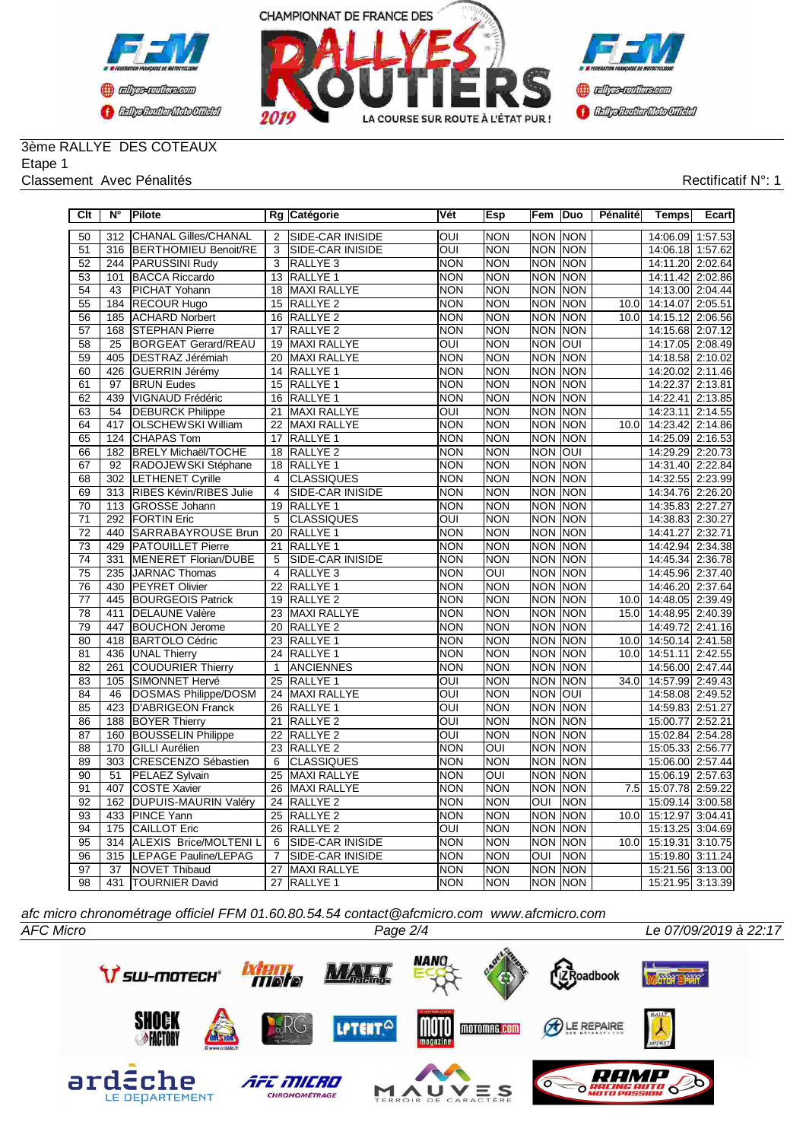



### 3ème RALLYE DES COTEAUX Etape 1

#### Classement Avec Pénalités **Rectificatif N°: 1**

| Clt             | $N^{\circ}$     | Pilote                       |                         | Rg Catégorie            | Vét                     | Esp                     | Fem              | Duo            | Pénalité | <b>Temps</b>     | Ecart   |
|-----------------|-----------------|------------------------------|-------------------------|-------------------------|-------------------------|-------------------------|------------------|----------------|----------|------------------|---------|
| 50              | 312             | CHANAL Gilles/CHANAL         | $\overline{2}$          | SIDE-CAR INISIDE        | $\overline{O}$          | <b>NON</b>              |                  | <b>NON NON</b> |          | 14:06.09 1:57.53 |         |
| 51              |                 | 316 BERTHOMIEU Benoit/RE     | 3                       | SIDE-CAR INISIDE        | OUI                     | <b>NON</b>              |                  | <b>NON NON</b> |          | 14:06.18 1:57.62 |         |
| $\overline{52}$ |                 | 244 PARUSSINI Rudy           | $\overline{3}$          | RALLYE <sub>3</sub>     | <b>NON</b>              | <b>NON</b>              |                  | NON NON        |          | 14:11.20 2:02.64 |         |
| $\overline{53}$ | 101             | <b>BACCA Riccardo</b>        | 13                      | RALLYE <sub>1</sub>     | <b>NON</b>              | <b>NON</b>              | <b>NON</b>       | <b>NON</b>     |          | 14:11.42         | 2:02.86 |
| $\overline{54}$ | $\overline{43}$ | <b>PICHAT Yohann</b>         | 18                      | <b>MAXI RALLYE</b>      | <b>NON</b>              | <b>NON</b>              | <b>NON</b>       | <b>NON</b>     |          | 14:13.00         | 2:04.44 |
| 55              | 184             | <b>RECOUR Hugo</b>           | 15                      | RALLYE <sub>2</sub>     | <b>NON</b>              | <b>NON</b>              | <b>NON</b>       | INON           | 10.0     | 14:14.07         | 2:05.51 |
| 56              | 185             | <b>ACHARD Norbert</b>        | 16                      | RALLYE <sub>2</sub>     | <b>NON</b>              | <b>NON</b>              | <b>NON</b>       | <b>NON</b>     | 10.0     | 14:15.12 2:06.56 |         |
| $\overline{57}$ | 168             | <b>STEPHAN Pierre</b>        | 17                      | <b>RALLYE 2</b>         | <b>NON</b>              | <b>NON</b>              | <b>NON</b>       | <b>NON</b>     |          | 14:15.68 2:07.12 |         |
| $\overline{58}$ | $\overline{25}$ | <b>BORGEAT Gerard/REAU</b>   | 19                      | <b>MAXI RALLYE</b>      | $\overline{\text{OUI}}$ | <b>NON</b>              | <b>NON</b>       | <b>OUI</b>     |          | 14:17.05 2:08.49 |         |
| 59              | 405             | <b>DESTRAZ Jérémiah</b>      | 20                      | <b>MAXI RALLYE</b>      | <b>NON</b>              | <b>NON</b>              | <b>NON</b>       | NON            |          | 14:18.58         | 2:10.02 |
| 60              | 426             | GUERRIN Jérémy               | 14                      | RALLYE <sub>1</sub>     | <b>NON</b>              | <b>NON</b>              | $\overline{NON}$ | <b>NON</b>     |          | 14:20.02         | 2:11.46 |
| 61              | 97              | <b>BRUN Eudes</b>            | 15                      | RALLYE <sub>1</sub>     | <b>NON</b>              | <b>NON</b>              | <b>NON</b>       | <b>NON</b>     |          | 14:22.37         | 2:13.81 |
| 62              | 439             | VIGNAUD Frédéric             | 16                      | RALLYE <sub>1</sub>     | <b>NON</b>              | <b>NON</b>              | $\overline{NON}$ | <b>NON</b>     |          | 14:22.41 2:13.85 |         |
| 63              | 54              | <b>DEBURCK Philippe</b>      | 21                      | <b>MAXI RALLYE</b>      | OUI                     | <b>NON</b>              | <b>NON</b>       | NON            |          | 14:23.11         | 2:14.55 |
| 64              | 417             | <b>OLSCHEWSKI William</b>    | 22                      | <b>MAXI RALLYE</b>      | <b>NON</b>              | <b>NON</b>              |                  | NON NON        | 10.0     | 14:23.42 2:14.86 |         |
| 65              | 124             | CHAPAS Tom                   | 17                      | RALLYE <sub>1</sub>     | <b>NON</b>              | <b>NON</b>              | <b>NON</b>       | <b>NON</b>     |          | 14:25.09 2:16.53 |         |
| 66              | 182             | <b>BRELY Michaël/TOCHE</b>   | 18                      | RALLYE <sub>2</sub>     | <b>NON</b>              | <b>NON</b>              | <b>NON</b>       | loui           |          | 14:29.29         | 2:20.73 |
| 67              | 92              | RADOJEWSKI Stéphane          | 18                      | <b>RALLYE 1</b>         | <b>NON</b>              | <b>NON</b>              | <b>NON</b>       | <b>NON</b>     |          | 14:31.40 2:22.84 |         |
| 68              |                 | 302 LETHENET Cyrille         | $\overline{4}$          | <b>CLASSIQUES</b>       | <b>NON</b>              | <b>NON</b>              |                  | <b>NON NON</b> |          | 14:32.55 2:23.99 |         |
| 69              |                 | 313 RIBES Kévin/RIBES Julie  | $\overline{4}$          | <b>SIDE-CAR INISIDE</b> | <b>NON</b>              | <b>NON</b>              | <b>NON</b>       | NON            |          | 14:34.76 2:26.20 |         |
| $\overline{70}$ | 113             | GROSSE Johann                | 19                      | RALLYE <sub>1</sub>     | <b>NON</b>              | <b>NON</b>              |                  | <b>NON NON</b> |          | 14:35.83         | 2:27.27 |
| $\overline{71}$ |                 | 292 FORTIN Eric              | 5                       | <b>CLASSIQUES</b>       | OUI                     | <b>NON</b>              |                  | <b>NON NON</b> |          | 14:38.83 2:30.27 |         |
| $\overline{72}$ | 440             | SARRABAYROUSE Brun           | 20                      | RALLYE <sub>1</sub>     | <b>NON</b>              | <b>NON</b>              | <b>NON</b>       | <b>NON</b>     |          | 14:41.27         | 2:32.71 |
| 73              | 429             | <b>PATOUILLET Pierre</b>     | 21                      | RALLYE <sub>1</sub>     | <b>NON</b>              | <b>NON</b>              | <b>NON</b>       | <b>NON</b>     |          | 14:42.94         | 2:34.38 |
| 74              | 331             | <b>MENERET Florian/DUBE</b>  | 5                       | SIDE-CAR INISIDE        | <b>NON</b>              | <b>NON</b>              | <b>NON</b>       | <b>NON</b>     |          | 14:45.34         | 2:36.78 |
| 75              | 235             | JARNAC Thomas                | $\overline{\mathbf{4}}$ | RALLYE <sub>3</sub>     | <b>NON</b>              | <b>OUI</b>              | <b>NON</b>       | <b>NON</b>     |          | 14:45.96         | 2:37.40 |
| 76              | 430             | <b>PEYRET Olivier</b>        | 22                      | RALLYE <sub>1</sub>     | <b>NON</b>              | <b>NON</b>              | <b>NON</b>       | <b>NON</b>     |          | 14:46.20         | 2:37.64 |
| $\overline{77}$ | 445             | <b>BOURGEOIS Patrick</b>     | 19                      | <b>RALLYE 2</b>         | <b>NON</b>              | <b>NON</b>              | <b>NON</b>       | <b>NON</b>     | 10.0     | 14:48.05 2:39.49 |         |
| $\overline{78}$ | 411             | <b>DELAUNE Valère</b>        | 23                      | <b>MAXI RALLYE</b>      | <b>NON</b>              | <b>NON</b>              | <b>NON</b>       | <b>NON</b>     | 15.0     | 14:48.95 2:40.39 |         |
| $\overline{79}$ | 447             | <b>BOUCHON Jerome</b>        | 20                      | RALLYE <sub>2</sub>     | <b>NON</b>              | <b>NON</b>              | <b>NON</b>       | <b>NON</b>     |          | 14:49.72         | 2:41.16 |
| $\overline{80}$ | 418             | <b>BARTOLO Cédric</b>        | $\overline{23}$         | <b>RALLYE 1</b>         | <b>NON</b>              | <b>NON</b>              | $\overline{NON}$ | <b>NON</b>     | 10.0     | 14:50.14 2:41.58 |         |
| $\overline{81}$ | 436             | <b>UNAL Thierry</b>          | $\overline{24}$         | <b>RALLYE 1</b>         | <b>NON</b>              | <b>NON</b>              |                  | <b>NON NON</b> | 10.0     | 14:51.11 2:42.55 |         |
| 82              | 261             | COUDURIER Thierry            | $\mathbf{1}$            | <b>ANCIENNES</b>        | <b>NON</b>              | <b>NON</b>              | <b>NON</b>       | <b>NON</b>     |          | 14:56.00 2:47.44 |         |
| 83              | 105             | SIMONNET Hervé               | 25                      | RALLYE <sub>1</sub>     | OUI                     | <b>NON</b>              | <b>NON</b>       | <b>NON</b>     | 34.0     | 14:57.99 2:49.43 |         |
| 84              | 46              | DOSMAS Philippe/DOSM         | $\overline{24}$         | <b>MAXI RALLYE</b>      | ОUІ                     | <b>NON</b>              | <b>NON</b>       | loui           |          | 14:58.08 2:49.52 |         |
| 85              | 423             | <b>D'ABRIGEON Franck</b>     | 26                      | RALLYE <sub>1</sub>     | OUI                     | <b>NON</b>              | <b>NON</b>       | <b>NON</b>     |          | 14:59.83         | 2:51.27 |
| 86              | 188             | <b>BOYER Thierry</b>         | 21                      | RALLYE <sub>2</sub>     | OUI                     | <b>NON</b>              | <b>NON</b>       | <b>NON</b>     |          | 15:00.77         | 2:52.21 |
| 87              | 160             | <b>BOUSSELIN Philippe</b>    | 22                      | RALLYE <sub>2</sub>     | $\overline{\text{OUI}}$ | <b>NON</b>              | <b>NON</b>       | <b>NON</b>     |          | 15:02.84         | 2:54.28 |
| 88              | 170             | <b>GILLI Aurélien</b>        | 23                      | RALLYE <sub>2</sub>     | <b>NON</b>              | $\overline{\text{OUI}}$ | <b>NON</b>       | <b>NON</b>     |          | 15:05.33         | 2:56.77 |
| 89              |                 | 303 CRESCENZO Sébastien      | 6                       | <b>CLASSIQUES</b>       | <b>NON</b>              | <b>NON</b>              |                  | <b>NON NON</b> |          | 15:06.00 2:57.44 |         |
| 90              | 51              | PELAEZ Sylvain               | 25                      | <b>MAXI RALLYE</b>      | <b>NON</b>              | $\overline{\text{OUI}}$ | <b>NON</b>       | NON            |          | 15:06.19 2:57.63 |         |
| 91              | 407             | <b>COSTE Xavier</b>          | 26                      | <b>MAXI RALLYE</b>      | <b>NON</b>              | <b>NON</b>              |                  | <b>NON NON</b> | 7.5      | 15:07.78 2:59.22 |         |
| 92              | 162             | <b>DUPUIS-MAURIN Valéry</b>  | 24                      | RALLYE <sub>2</sub>     | <b>NON</b>              | <b>NON</b>              | OUI              | <b>NON</b>     |          | 15:09.14         | 3:00.58 |
| 93              | 433             | <b>PINCE Yann</b>            | 25                      | RALLYE <sub>2</sub>     | <b>NON</b>              | <b>NON</b>              | <b>NON</b>       | INON           | 10.0     | 15:12.97         | 3:04.41 |
| 94              | 175             | <b>CAILLOT Eric</b>          | 26                      | <b>RALLYE 2</b>         | OUI                     | <b>NON</b>              | <b>NON</b>       | <b>NON</b>     |          | 15:13.25         | 3:04.69 |
| 95              | 314             | <b>ALEXIS Brice/MOLTENIL</b> | 6                       | SIDE-CAR INISIDE        | <b>NON</b>              | <b>NON</b>              | <b>NON</b>       | <b>NON</b>     | 10.0     | 15:19.31 3:10.75 |         |
| 96              | 315             | LEPAGE Pauline/LEPAG         | $\overline{7}$          | <b>SIDE-CAR INISIDE</b> | <b>NON</b>              | <b>NON</b>              | ОUІ              | <b>NON</b>     |          | 15:19.80         | 3:11.24 |
| $\overline{97}$ | $\overline{37}$ | <b>NOVET Thibaud</b>         | 27                      | <b>MAXI RALLYE</b>      | <b>NON</b>              | <b>NON</b>              |                  | <b>NON NON</b> |          | 15:21.56 3:13.00 |         |
| 98              |                 | 431  TOURNIER David          | $\overline{27}$         | <b>RALLYE 1</b>         | <b>NON</b>              | <b>NON</b>              |                  | <b>NON NON</b> |          | 15:21.95 3:13.39 |         |

*AFC Micro Page 2/4 Le 07/09/2019 à 22:17 afc micro chronométrage officiel FFM 01.60.80.54.54 contact@afcmicro.com www.afcmicro.com*



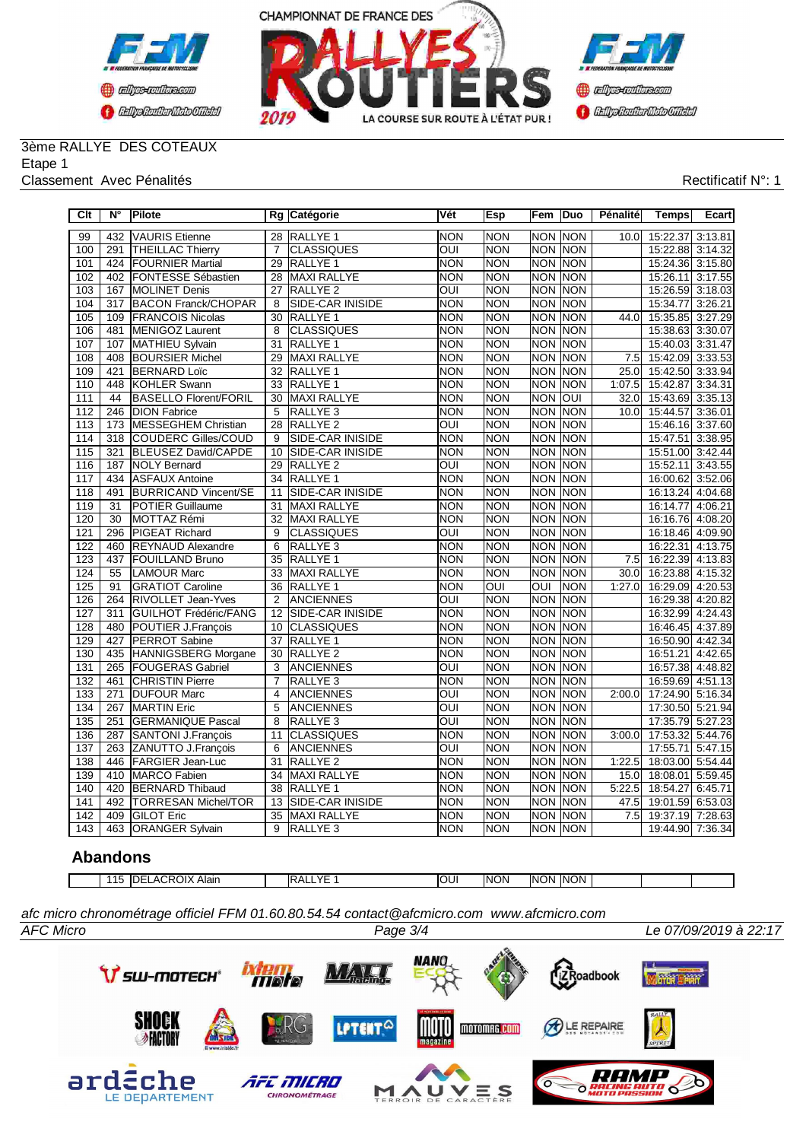



### 3ème RALLYE DES COTEAUX Etape 1

#### Classement Avec Pénalités **Rectificatif N°: 1**

| Clt              | N°               | Pilote                       |                 | Rg Catégorie        | Vét        | Esp        | Fem        | Duo        | Pénalité | <b>Temps</b>     | Ecart   |
|------------------|------------------|------------------------------|-----------------|---------------------|------------|------------|------------|------------|----------|------------------|---------|
| 99               | 432              | <b>VAURIS Etienne</b>        | 28              | <b>RALLYE 1</b>     | <b>NON</b> | <b>NON</b> | <b>NON</b> | <b>NON</b> | 10.0     | 15:22.37         | 3:13.81 |
| 100              | 291              | <b>THEILLAC Thierry</b>      | $\overline{7}$  | <b>CLASSIQUES</b>   | OUI        | <b>NON</b> | <b>NON</b> | Inon       |          | 15:22.88         | 3:14.32 |
| 101              | 424              | <b>FOURNIER Martial</b>      | 29              | RALLYE <sub>1</sub> | <b>NON</b> | <b>NON</b> | <b>NON</b> | <b>NON</b> |          | 15:24.36 3:15.80 |         |
| 102              | 402              | FONTESSE Sébastien           | 28              | <b>MAXI RALLYE</b>  | <b>NON</b> | <b>NON</b> | <b>NON</b> | <b>NON</b> |          | 15:26.11         | 3:17.55 |
| 103              | 167              | <b>MOLINET Denis</b>         | 27              | <b>RALLYE 2</b>     | OUI        | <b>NON</b> | <b>NON</b> | INON       |          | 15:26.59         | 3:18.03 |
| 104              | 317              | <b>BACON Franck/CHOPAR</b>   | 8               | SIDE-CAR INISIDE    | <b>NON</b> | <b>NON</b> | <b>NON</b> | Inon       |          | 15:34.77         | 3:26.21 |
| 105              | 109              | <b>FRANCOIS Nicolas</b>      | 30              | RALLYE <sub>1</sub> | <b>NON</b> | <b>NON</b> | <b>NON</b> | <b>NON</b> | 44.0     | 15:35.85         | 3:27.29 |
| 106              | 481              | MENIGOZ Laurent              | 8               | <b>CLASSIQUES</b>   | <b>NON</b> | <b>NON</b> | <b>NON</b> | <b>NON</b> |          | 15:38.63         | 3:30.07 |
| 107              | 107              | MATHIEU Sylvain              | $\overline{31}$ | RALLYE <sub>1</sub> | <b>NON</b> | <b>NON</b> | <b>NON</b> | <b>NON</b> |          | 15:40.03         | 3:31.47 |
| 108              | 408              | <b>BOURSIER Michel</b>       | 29              | <b>MAXI RALLYE</b>  | <b>NON</b> | <b>NON</b> | <b>NON</b> | <b>NON</b> | 7.5      | 15:42.09         | 3:33.53 |
| 109              | 421              | <b>BERNARD Loïc</b>          | 32              | RALLYE <sub>1</sub> | <b>NON</b> | <b>NON</b> | <b>NON</b> | <b>NON</b> | 25.0     | 15:42.50 3:33.94 |         |
| 110              | 448              | KOHLER Swann                 | 33              | RALLYE <sub>1</sub> | <b>NON</b> | <b>NON</b> | <b>NON</b> | <b>NON</b> | 1:07.5   | 15:42.87         | 3:34.31 |
| 111              | 44               | <b>BASELLO Florent/FORIL</b> | 30              | <b>MAXI RALLYE</b>  | <b>NON</b> | <b>NON</b> | <b>NON</b> | OUI        | 32.0     | 15:43.69         | 3:35.13 |
| 112              | 246              | <b>DION Fabrice</b>          | 5               | RALLYE <sub>3</sub> | <b>NON</b> | <b>NON</b> | <b>NON</b> | Inon       | 10.0     | 15:44.57         | 3:36.01 |
| 113              | 173              | <b>MESSEGHEM Christian</b>   | 28              | RALLYE <sub>2</sub> | OUI        | <b>NON</b> | <b>NON</b> | <b>NON</b> |          | 15:46.16         | 3:37.60 |
| 114              | 318              | <b>COUDERC Gilles/COUD</b>   | 9               | SIDE-CAR INISIDE    | NON        | <b>NON</b> | <b>NON</b> | <b>NON</b> |          | 15:47.51         | 3:38.95 |
| 115              | 321              | BLEUSEZ David/CAPDE          | 10              | SIDE-CAR INISIDE    | <b>NON</b> | <b>NON</b> | <b>NON</b> | <b>NON</b> |          | 15:51.00         | 3:42.44 |
| 116              | 187              | <b>NOLY Bernard</b>          | 29              | <b>RALLYE 2</b>     | OUI        | <b>NON</b> | <b>NON</b> | <b>NON</b> |          | 15:52.11         | 3:43.55 |
| 117              | 434              | <b>ASFAUX Antoine</b>        | 34              | RALLYE <sub>1</sub> | <b>NON</b> | <b>NON</b> | <b>NON</b> | <b>NON</b> |          | 16:00.62         | 3:52.06 |
| $\overline{118}$ | 491              | <b>BURRICAND Vincent/SE</b>  | 11              | SIDE-CAR INISIDE    | <b>NON</b> | <b>NON</b> | <b>NON</b> | <b>NON</b> |          | 16:13.24         | 4:04.68 |
| 119              | 31               | <b>POTIER Guillaume</b>      | 31              | <b>MAXI RALLYE</b>  | <b>NON</b> | <b>NON</b> | <b>NON</b> | INON       |          | 16:14.77         | 4:06.21 |
| 120              | 30               | MOTTAZ Rémi                  | 32              | <b>MAXI RALLYE</b>  | <b>NON</b> | <b>NON</b> | <b>NON</b> | <b>NON</b> |          | 16:16.76         | 4:08.20 |
| 121              | 296              | <b>PIGEAT Richard</b>        | 9               | <b>CLASSIQUES</b>   | OUI        | <b>NON</b> | <b>NON</b> | <b>NON</b> |          | 16:18.46 4:09.90 |         |
| 122              | 460              | <b>REYNAUD Alexandre</b>     | 6               | RALLYE <sub>3</sub> | <b>NON</b> | <b>NON</b> | <b>NON</b> | Inon       |          | 16:22.31         | 4:13.75 |
| 123              | 437              | <b>FOUILLAND Bruno</b>       | $\overline{35}$ | RALLYE <sub>1</sub> | <b>NON</b> | <b>NON</b> | <b>NON</b> | <b>NON</b> | 7.5      | 16:22.39 4:13.83 |         |
| 124              | 55               | <b>LAMOUR Marc</b>           | 33              | <b>MAXI RALLYE</b>  | <b>NON</b> | <b>NON</b> | <b>NON</b> | <b>NON</b> | 30.0     | 16:23.88         | 4:15.32 |
| 125              | 91               | <b>GRATIOT Caroline</b>      | 36              | <b>RALLYE 1</b>     | <b>NON</b> | OUI        | OUI        | <b>NON</b> | 1:27.0   | 16:29.09         | 4:20.53 |
| 126              | 264              | <b>RIVOLLET Jean-Yves</b>    | $\overline{2}$  | <b>ANCIENNES</b>    | OUI        | <b>NON</b> | <b>NON</b> | <b>NON</b> |          | 16:29.38         | 4:20.82 |
| 127              | 311              | <b>GUILHOT Frédéric/FANG</b> | 12              | SIDE-CAR INISIDE    | <b>NON</b> | <b>NON</b> | <b>NON</b> | NON        |          | 16:32.99 4:24.43 |         |
| 128              | 480              | POUTIER J.François           | 10              | <b>CLASSIQUES</b>   | <b>NON</b> | <b>NON</b> | <b>NON</b> | <b>NON</b> |          | 16:46.45         | 4:37.89 |
| 129              | 427              | <b>PERROT Sabine</b>         | 37              | RALLYE <sub>1</sub> | <b>NON</b> | <b>NON</b> | <b>NON</b> | <b>NON</b> |          | 16:50.90         | 4:42.34 |
| 130              | 435              | <b>HANNIGSBERG Morgane</b>   | 30              | <b>RALLYE 2</b>     | <b>NON</b> | <b>NON</b> | <b>NON</b> | NON        |          | 16:51.21         | 4:42.65 |
| 131              | 265              | <b>FOUGERAS Gabriel</b>      | 3               | <b>ANCIENNES</b>    | OUI        | <b>NON</b> | <b>NON</b> | <b>NON</b> |          | 16:57.38         | 4:48.82 |
| 132              | 461              | <b>CHRISTIN Pierre</b>       | $\overline{7}$  | RALLYE <sub>3</sub> | NON        | <b>NON</b> | <b>NON</b> | <b>NON</b> |          | 16:59.69         | 4:51.13 |
| 133              | $\overline{271}$ | <b>DUFOUR Marc</b>           | $\overline{4}$  | <b>ANCIENNES</b>    | OUI        | <b>NON</b> | <b>NON</b> | <b>NON</b> | 2:00.0   | 17:24.90 5:16.34 |         |
| 134              | 267              | <b>MARTIN Eric</b>           | 5               | <b>ANCIENNES</b>    | OUI        | <b>NON</b> | <b>NON</b> | <b>NON</b> |          | 17:30.50 5:21.94 |         |
| 135              | 251              | <b>GERMANIQUE Pascal</b>     | 8               | <b>RALLYE 3</b>     | ОUІ        | <b>NON</b> | <b>NON</b> | <b>NON</b> |          | 17:35.79         | 5:27.23 |
| 136              | 287              | <b>SANTONI J.François</b>    | 11              | <b>CLASSIQUES</b>   | <b>NON</b> | <b>NON</b> | <b>NON</b> | INON       | 3:00.0   | 17:53.32         | 5:44.76 |
| 137              | 263              | ZANUTTO J.François           | 6               | <b>ANCIENNES</b>    | OUI        | <b>NON</b> | <b>NON</b> | <b>NON</b> |          | 17:55.71         | 5:47.15 |
| 138              | 446              | <b>FARGIER Jean-Luc</b>      | 31              | RALLYE <sub>2</sub> | <b>NON</b> | <b>NON</b> | <b>NON</b> | <b>NON</b> | 1:22.5   | 18:03.00         | 5:54.44 |
| 139              |                  | 410 MARCO Fabien             | 34              | <b>MAXI RALLYE</b>  | <b>NON</b> | <b>NON</b> | <b>NON</b> | <b>NON</b> | 15.0     | 18:08.01         | 5:59.45 |
| 140              | 420              | <b>BERNARD Thibaud</b>       | $\overline{38}$ | <b>RALLYE 1</b>     | <b>NON</b> | <b>NON</b> | <b>NON</b> | <b>NON</b> | 5:22.5   | 18:54.27         | 6:45.71 |
| 141              | 492              | <b>TORRESAN Michel/TOR</b>   | 13              | SIDE-CAR INISIDE    | <b>NON</b> | <b>NON</b> | <b>NON</b> | INON       | 47.5     | 19:01.59         | 6:53.03 |
| 142              | 409              | <b>GILOT Eric</b>            | 35              | <b>MAXI RALLYE</b>  | <b>NON</b> | <b>NON</b> | <b>NON</b> | <b>NON</b> | 7.5      | 19:37.19         | 7:28.63 |
| 143              | 463              | <b>ORANGER Sylvain</b>       | 9               | RALLYE <sub>3</sub> | <b>NON</b> | <b>NON</b> | NON NON    |            |          | 19:44.90 7:36.34 |         |

## **Abandons**

| 11<br>IDE | --<br>ACROIX<br>Alair | $V\Gamma$<br>IR A<br>◝◠ | loui | <b>INON</b> | <b>NON</b> | <b>INON</b> |  |  |
|-----------|-----------------------|-------------------------|------|-------------|------------|-------------|--|--|

*AFC Micro Page 3/4 Le 07/09/2019 à 22:17 afc micro chronométrage officiel FFM 01.60.80.54.54 contact@afcmicro.com www.afcmicro.com*